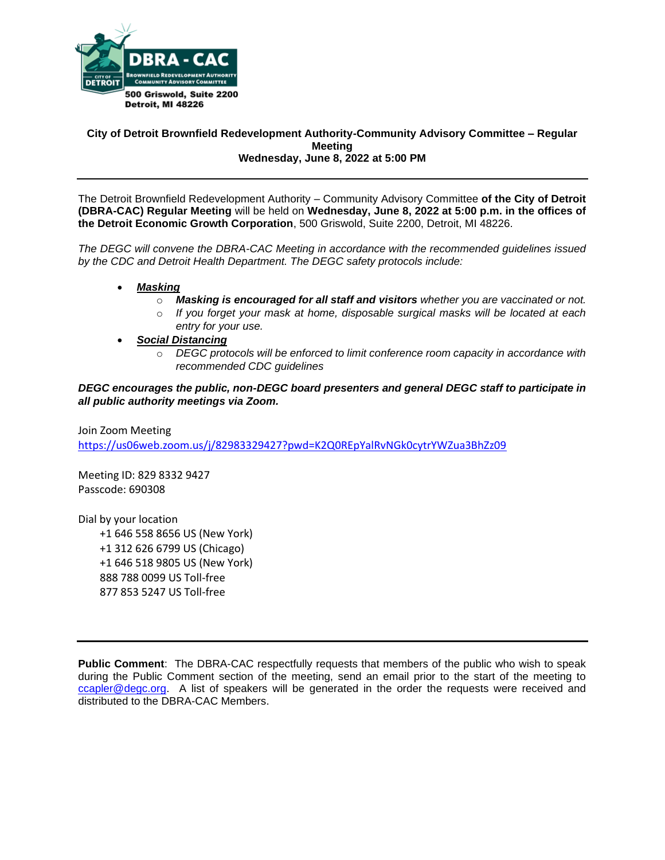

### **City of Detroit Brownfield Redevelopment Authority-Community Advisory Committee – Regular Meeting Wednesday, June 8, 2022 at 5:00 PM**

The Detroit Brownfield Redevelopment Authority – Community Advisory Committee **of the City of Detroit (DBRA-CAC) Regular Meeting** will be held on **Wednesday, June 8, 2022 at 5:00 p.m. in the offices of the Detroit Economic Growth Corporation**, 500 Griswold, Suite 2200, Detroit, MI 48226.

*The DEGC will convene the DBRA-CAC Meeting in accordance with the recommended guidelines issued by the CDC and Detroit Health Department. The DEGC safety protocols include:*

- *Masking*
	- o *Masking is encouraged for all staff and visitors whether you are vaccinated or not.*
	- o *If you forget your mask at home, disposable surgical masks will be located at each entry for your use.*
- *Social Distancing* 
	- o *DEGC protocols will be enforced to limit conference room capacity in accordance with recommended CDC guidelines*

*DEGC encourages the public, non-DEGC board presenters and general DEGC staff to participate in all public authority meetings via Zoom.* 

Join Zoom Meeting <https://us06web.zoom.us/j/82983329427?pwd=K2Q0REpYalRvNGk0cytrYWZua3BhZz09>

Meeting ID: 829 8332 9427 Passcode: 690308

Dial by your location +1 646 558 8656 US (New York) +1 312 626 6799 US (Chicago) +1 646 518 9805 US (New York) 888 788 0099 US Toll-free 877 853 5247 US Toll-free

**Public Comment**: The DBRA-CAC respectfully requests that members of the public who wish to speak during the Public Comment section of the meeting, send an email prior to the start of the meeting to [ccapler@degc.org.](mailto:ccapler@degc.org) A list of speakers will be generated in the order the requests were received and distributed to the DBRA-CAC Members.